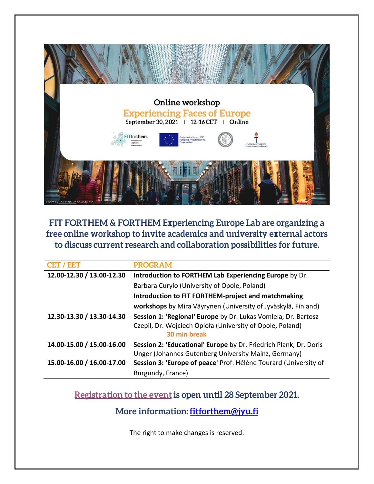

FIT FORTHEM & FORTHEM Experiencing Europe Lab are organizing a free online workshop to invite academics and university external actors to discuss current research and collaboration possibilities for future.

| <b>CET / EET</b>          | <b>PROGRAM</b>                                                                                                                              |
|---------------------------|---------------------------------------------------------------------------------------------------------------------------------------------|
| 12.00-12.30 / 13.00-12.30 | Introduction to FORTHEM Lab Experiencing Europe by Dr.                                                                                      |
|                           | Barbara Curylo (University of Opole, Poland)                                                                                                |
|                           | <b>Introduction to FIT FORTHEM-project and matchmaking</b>                                                                                  |
|                           | workshops by Mira Väyrynen (University of Jyväskylä, Finland)                                                                               |
| 12.30-13.30 / 13.30-14.30 | Session 1: 'Regional' Europe by Dr. Lukas Vomlela, Dr. Bartosz<br>Czepil, Dr. Wojciech Opioła (University of Opole, Poland)<br>30 min break |
| 14.00-15.00 / 15.00-16.00 | Session 2: 'Educational' Europe by Dr. Friedrich Plank, Dr. Doris<br>Unger (Johannes Gutenberg University Mainz, Germany)                   |
| 15.00-16.00 / 16.00-17.00 | Session 3: 'Europe of peace' Prof. Hélène Tourard (University of                                                                            |
|                           | Burgundy, France)                                                                                                                           |

Registration to the event is open until 28 September 2021.

More information: fitforthem@jyu.fi

The right to make changes is reserved.